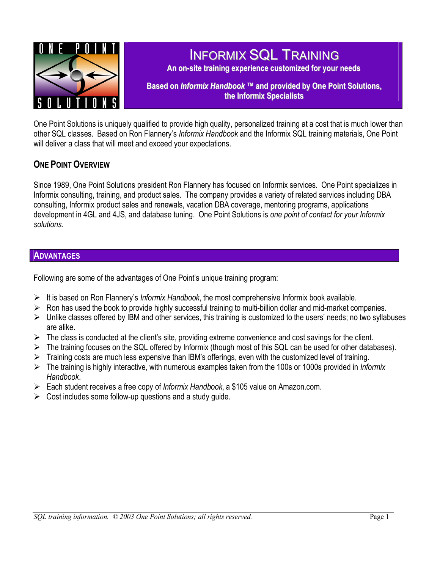

# INFORMIX SQL TRAINING

**An on-site training experience customized for your needs**

**Based on** *Informix Handbook ™* **and provided by One Point Solutions, the Informix Specialists**

One Point Solutions is uniquely qualified to provide high quality, personalized training at a cost that is much lower than other SQL classes. Based on Ron Flannery's *Informix Handbook* and the Informix SQL training materials, One Point will deliver a class that will meet and exceed your expectations.

## **ONE POINT OVERVIEW**

Since 1989, One Point Solutions president Ron Flannery has focused on Informix services. One Point specializes in Informix consulting, training, and product sales. The company provides a variety of related services including DBA consulting, Informix product sales and renewals, vacation DBA coverage, mentoring programs, applications development in 4GL and 4JS, and database tuning. One Point Solutions is *one point of contact for your Informix solutions.*

## **ADVANTAGES**

Following are some of the advantages of One Point's unique training program:

- ¾ It is based on Ron Flannery's *Informix Handbook*, the most comprehensive Informix book available.
- ¾ Ron has used the book to provide highly successful training to multi-billion dollar and mid-market companies.
- $\triangleright$  Unlike classes offered by IBM and other services, this training is customized to the users' needs; no two syllabuses are alike.
- $\triangleright$  The class is conducted at the client's site, providing extreme convenience and cost savings for the client.
- $\triangleright$  The training focuses on the SQL offered by Informix (though most of this SQL can be used for other databases).
- ¾ Training costs are much less expensive than IBM's offerings, even with the customized level of training.
- ¾ The training is highly interactive, with numerous examples taken from the 100s or 1000s provided in *Informix Handbook*.
- ¾ Each student receives a free copy of *Informix Handbook*, a \$105 value on Amazon.com.
- $\triangleright$  Cost includes some follow-up questions and a study quide.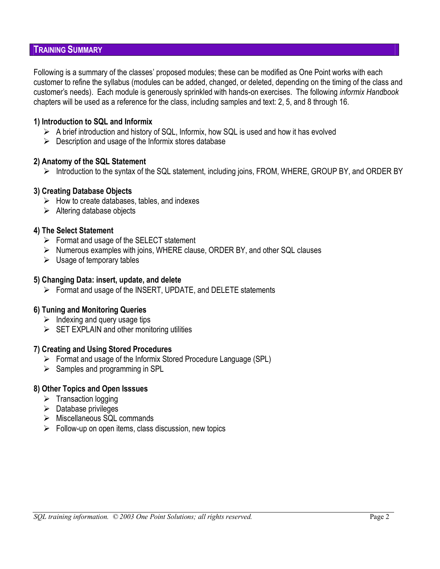### **TRAINING SUMMARY**

Following is a summary of the classes' proposed modules; these can be modified as One Point works with each customer to refine the syllabus (modules can be added, changed, or deleted, depending on the timing of the class and customer's needs). Each module is generously sprinkled with hands-on exercises. The following *informix Handbook*  chapters will be used as a reference for the class, including samples and text: 2, 5, and 8 through 16.

### **1) Introduction to SQL and Informix**

- $\triangleright$  A brief introduction and history of SQL, Informix, how SQL is used and how it has evolved
- $\triangleright$  Description and usage of the Informix stores database

#### **2) Anatomy of the SQL Statement**

 $\triangleright$  Introduction to the syntax of the SQL statement, including joins, FROM, WHERE, GROUP BY, and ORDER BY

#### **3) Creating Database Objects**

- $\triangleright$  How to create databases, tables, and indexes
- $\triangleright$  Altering database objects

#### **4) The Select Statement**

- $\triangleright$  Format and usage of the SELECT statement
- ¾ Numerous examples with joins, WHERE clause, ORDER BY, and other SQL clauses
- $\triangleright$  Usage of temporary tables

#### **5) Changing Data: insert, update, and delete**

 $\triangleright$  Format and usage of the INSERT, UPDATE, and DELETE statements

### **6) Tuning and Monitoring Queries**

- $\triangleright$  Indexing and query usage tips
- $\triangleright$  SET EXPLAIN and other monitoring utilities

#### **7) Creating and Using Stored Procedures**

- ¾ Format and usage of the Informix Stored Procedure Language (SPL)
- $\triangleright$  Samples and programming in SPL

### **8) Other Topics and Open Isssues**

- $\triangleright$  Transaction logging
- $\triangleright$  Database privileges
- ¾ Miscellaneous SQL commands
- $\triangleright$  Follow-up on open items, class discussion, new topics